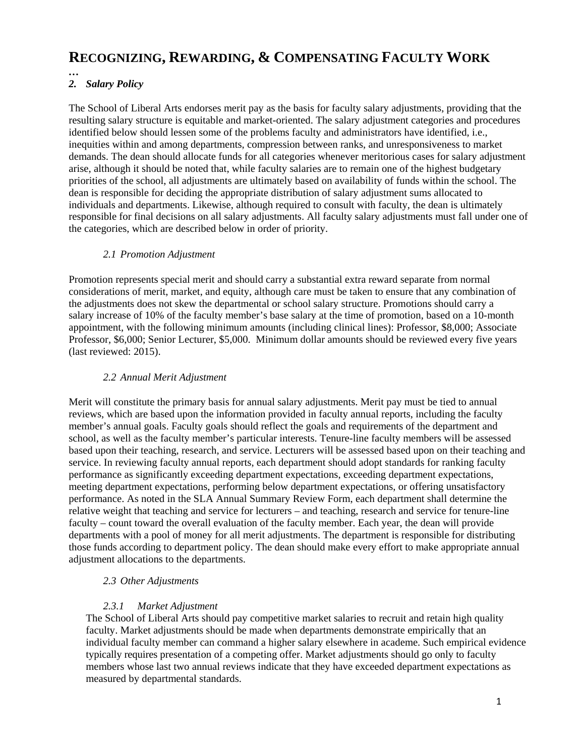# **RECOGNIZING, REWARDING, & COMPENSATING FACULTY WORK**

#### *… 2. Salary Policy*

The School of Liberal Arts endorses merit pay as the basis for faculty salary adjustments, providing that the resulting salary structure is equitable and market-oriented. The salary adjustment categories and procedures identified below should lessen some of the problems faculty and administrators have identified, i.e., inequities within and among departments, compression between ranks, and unresponsiveness to market demands. The dean should allocate funds for all categories whenever meritorious cases for salary adjustment arise, although it should be noted that, while faculty salaries are to remain one of the highest budgetary priorities of the school, all adjustments are ultimately based on availability of funds within the school. The dean is responsible for deciding the appropriate distribution of salary adjustment sums allocated to individuals and departments. Likewise, although required to consult with faculty, the dean is ultimately responsible for final decisions on all salary adjustments. All faculty salary adjustments must fall under one of the categories, which are described below in order of priority.

## *2.1 Promotion Adjustment*

Promotion represents special merit and should carry a substantial extra reward separate from normal considerations of merit, market, and equity, although care must be taken to ensure that any combination of the adjustments does not skew the departmental or school salary structure. Promotions should carry a salary increase of 10% of the faculty member's base salary at the time of promotion, based on a 10-month appointment, with the following minimum amounts (including clinical lines): Professor, \$8,000; Associate Professor, \$6,000; Senior Lecturer, \$5,000. Minimum dollar amounts should be reviewed every five years (last reviewed: 2015).

### *2.2 Annual Merit Adjustment*

Merit will constitute the primary basis for annual salary adjustments. Merit pay must be tied to annual reviews, which are based upon the information provided in faculty annual reports, including the faculty member's annual goals. Faculty goals should reflect the goals and requirements of the department and school, as well as the faculty member's particular interests. Tenure-line faculty members will be assessed based upon their teaching, research, and service. Lecturers will be assessed based upon on their teaching and service. In reviewing faculty annual reports, each department should adopt standards for ranking faculty performance as significantly exceeding department expectations, exceeding department expectations, meeting department expectations, performing below department expectations, or offering unsatisfactory performance. As noted in the SLA Annual Summary Review Form, each department shall determine the relative weight that teaching and service for lecturers – and teaching, research and service for tenure-line faculty – count toward the overall evaluation of the faculty member. Each year, the dean will provide departments with a pool of money for all merit adjustments. The department is responsible for distributing those funds according to department policy. The dean should make every effort to make appropriate annual adjustment allocations to the departments.

#### *2.3 Other Adjustments*

#### *2.3.1 Market Adjustment*

The School of Liberal Arts should pay competitive market salaries to recruit and retain high quality faculty. Market adjustments should be made when departments demonstrate empirically that an individual faculty member can command a higher salary elsewhere in academe. Such empirical evidence typically requires presentation of a competing offer. Market adjustments should go only to faculty members whose last two annual reviews indicate that they have exceeded department expectations as measured by departmental standards.